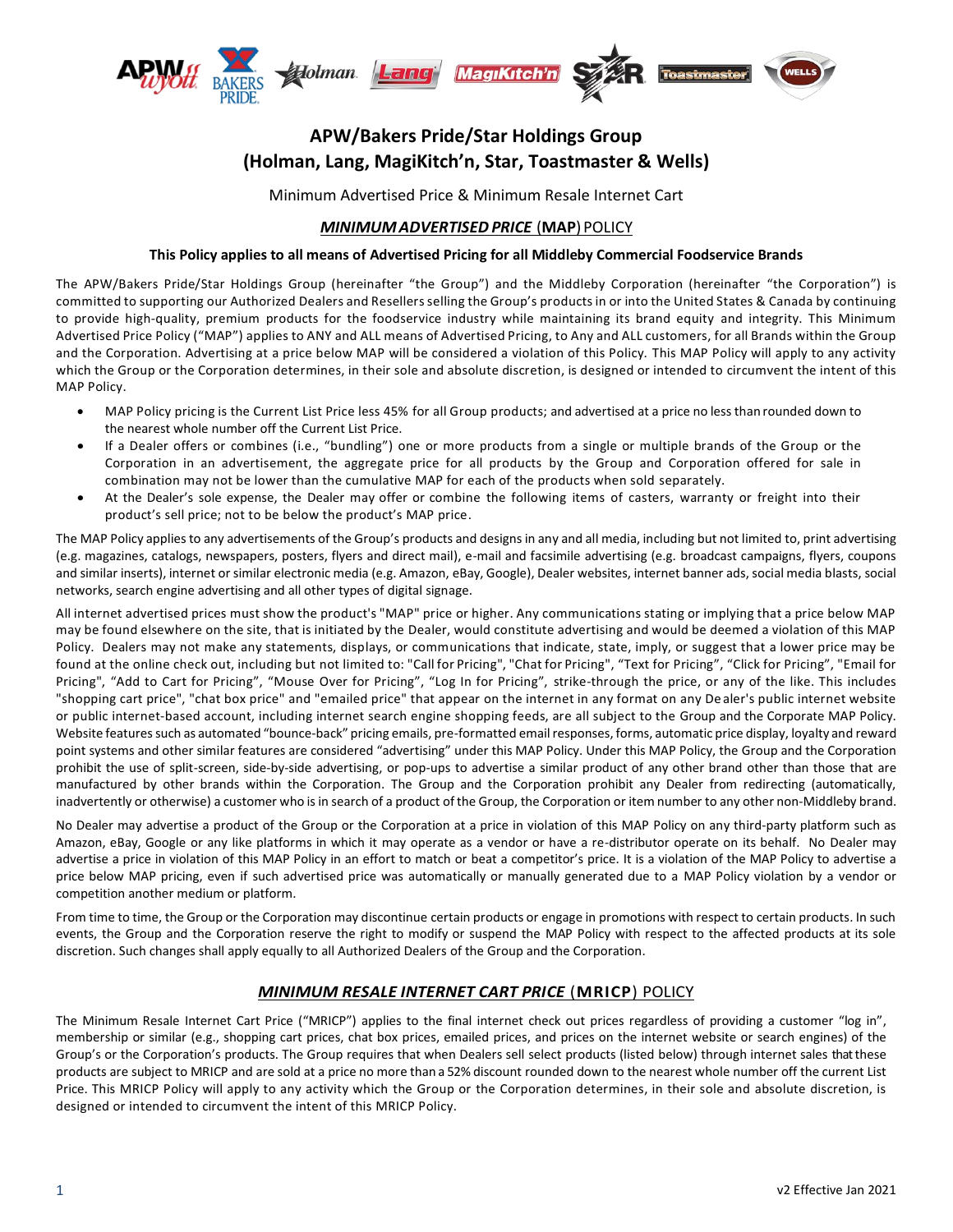

# **APW/Bakers Pride/Star Holdings Group (Holman, Lang, MagiKitch'n, Star, Toastmaster & Wells)**

Minimum Advertised Price & Minimum Resale Internet Cart

## *MINIMUM ADVERTISED PRICE* (MAP) POLICY

### **This Policy applies to all means of Advertised Pricing for all Middleby Commercial Foodservice Brands**

The APW/Bakers Pride/Star Holdings Group (hereinafter "the Group") and the Middleby Corporation (hereinafter "the Corporation") is committed to supporting our Authorized Dealers and Resellers selling the Group's products in or into the United States & Canada by continuing to provide high-quality, premium products for the foodservice industry while maintaining its brand equity and integrity. This Minimum Advertised Price Policy ("MAP") applies to ANY and ALL means of Advertised Pricing, to Any and ALL customers, for all Brands within the Group and the Corporation. Advertising at a price below MAP will be considered a violation of this Policy. This MAP Policy will apply to any activity which the Group or the Corporation determines, in their sole and absolute discretion, is designed or intended to circumvent the intent of this MAP Policy.

- MAP Policy pricing is the Current List Price less 45% for all Group products; and advertised at a price no less than rounded down to the nearest whole number off the Current List Price.
- If a Dealer offers or combines (i.e., "bundling") one or more products from a single or multiple brands of the Group or the Corporation in an advertisement, the aggregate price for all products by the Group and Corporation offered for sale in combination may not be lower than the cumulative MAP for each of the products when sold separately.
- At the Dealer's sole expense, the Dealer may offer or combine the following items of casters, warranty or freight into their product's sell price; not to be below the product's MAP price.

The MAP Policy applies to any advertisements of the Group's products and designs in any and all media, including but not limited to, print advertising (e.g. magazines, catalogs, newspapers, posters, flyers and direct mail), e-mail and facsimile advertising (e.g. broadcast campaigns, flyers, coupons and similar inserts), internet or similar electronic media (e.g. Amazon, eBay, Google), Dealer websites, internet banner ads, social media blasts, social networks, search engine advertising and all other types of digital signage.

All internet advertised prices must show the product's "MAP" price or higher. Any communications stating or implying that a price below MAP may be found elsewhere on the site, that is initiated by the Dealer, would constitute advertising and would be deemed a violation of this MAP Policy. Dealers may not make any statements, displays, or communications that indicate, state, imply, or suggest that a lower price may be found at the online check out, including but not limited to: "Call for Pricing", "Chat for Pricing", "Text for Pricing", "Click for Pricing", "Email for Pricing", "Add to Cart for Pricing", "Mouse Over for Pricing", "Log In for Pricing", strike-through the price, or any of the like. This includes "shopping cart price", "chat box price" and "emailed price" that appear on the internet in any format on any De aler's public internet website or public internet-based account, including internet search engine shopping feeds, are all subject to the Group and the Corporate MAP Policy. Website features such as automated "bounce-back" pricing emails, pre-formatted email responses, forms, automatic price display, loyalty and reward point systems and other similar features are considered "advertising" under this MAP Policy. Under this MAP Policy, the Group and the Corporation prohibit the use of split-screen, side-by-side advertising, or pop-ups to advertise a similar product of any other brand other than those that are manufactured by other brands within the Corporation. The Group and the Corporation prohibit any Dealer from redirecting (automatically, inadvertently or otherwise) a customer who is in search of a product of the Group, the Corporation or item number to any other non-Middleby brand.

No Dealer may advertise a product of the Group or the Corporation at a price in violation of this MAP Policy on any third-party platform such as Amazon, eBay, Google or any like platforms in which it may operate as a vendor or have a re-distributor operate on its behalf. No Dealer may advertise a price in violation of this MAP Policy in an effort to match or beat a competitor's price. It is a violation of the MAP Policy to advertise a price below MAP pricing, even if such advertised price was automatically or manually generated due to a MAP Policy violation by a vendor or competition another medium or platform.

From time to time, the Group or the Corporation may discontinue certain products or engage in promotions with respect to certain products. In such events, the Group and the Corporation reserve the right to modify or suspend the MAP Policy with respect to the affected products at its sole discretion. Such changes shall apply equally to all Authorized Dealers of the Group and the Corporation.

# *MINIMUM RESALE INTERNET CART PRICE* (**MRICP**) POLICY

The Minimum Resale Internet Cart Price ("MRICP") applies to the final internet check out prices regardless of providing a customer "log in", membership or similar (e.g., shopping cart prices, chat box prices, emailed prices, and prices on the internet website or search engines) of the Group's or the Corporation's products. The Group requires that when Dealers sell select products (listed below) through internet sales that these products are subject to MRICP and are sold at a price no more than a 52% discount rounded down to the nearest whole number off the current List Price. This MRICP Policy will apply to any activity which the Group or the Corporation determines, in their sole and absolute discretion, is designed or intended to circumvent the intent of this MRICP Policy.